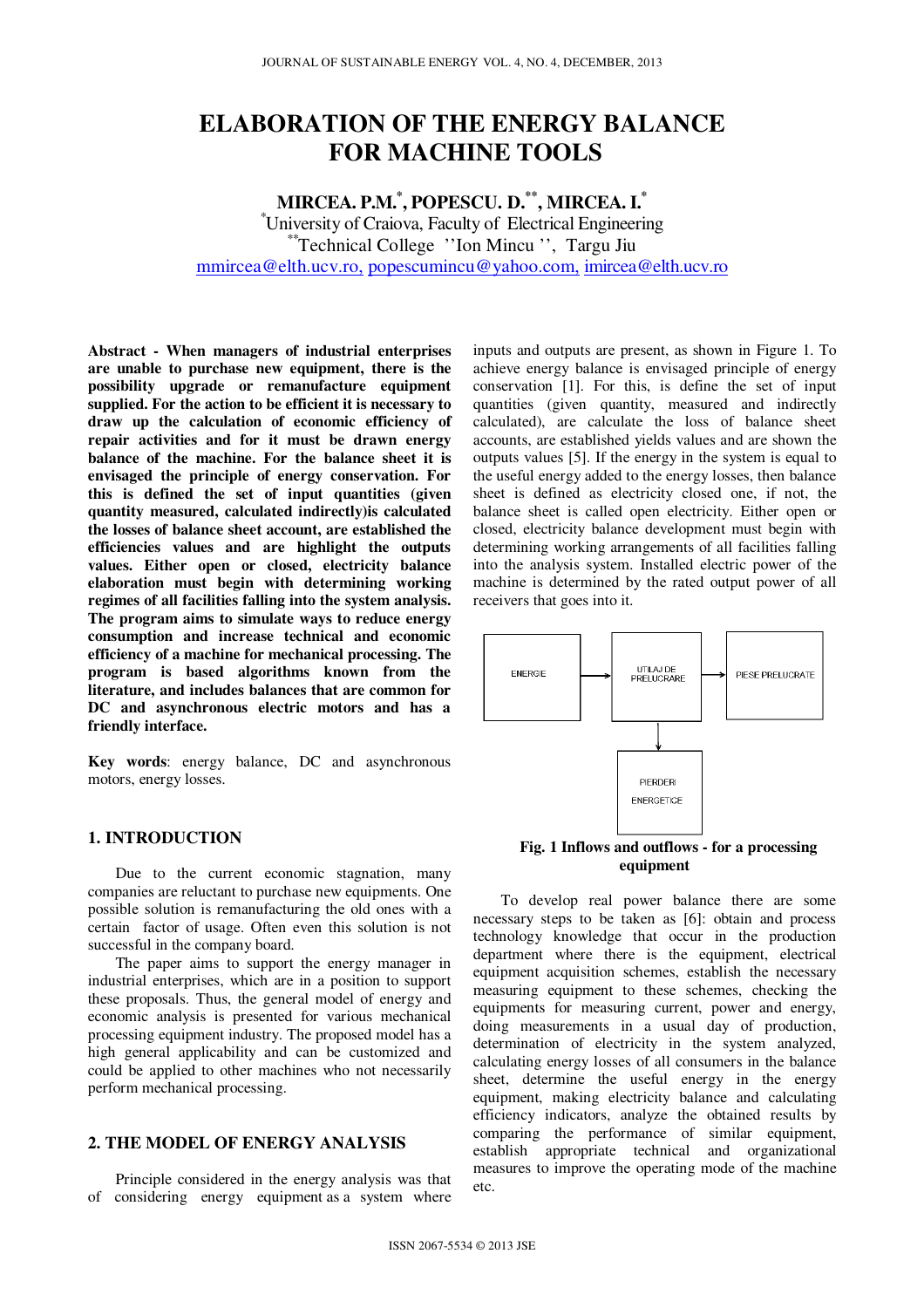# **ELABORATION OF THE ENERGY BALANCE FOR MACHINE TOOLS**

# **MIRCEA. P.M.\* , POPESCU. D.\*\*, MIRCEA. I.\***

\*University of Craiova, Faculty of Electrical Engineering \*\*Technical College ''Ion Mincu '', Targu Jiu mmircea@elth.ucv.ro, popescumincu@yahoo.com, imircea@elth.ucv.ro

**Abstract - When managers of industrial enterprises are unable to purchase new equipment, there is the possibility upgrade or remanufacture equipment supplied. For the action to be efficient it is necessary to draw up the calculation of economic efficiency of repair activities and for it must be drawn energy balance of the machine. For the balance sheet it is envisaged the principle of energy conservation. For this is defined the set of input quantities (given quantity measured, calculated indirectly)is calculated the losses of balance sheet account, are established the efficiencies values and are highlight the outputs values. Either open or closed, electricity balance elaboration must begin with determining working regimes of all facilities falling into the system analysis. The program aims to simulate ways to reduce energy consumption and increase technical and economic efficiency of a machine for mechanical processing. The program is based algorithms known from the literature, and includes balances that are common for DC and asynchronous electric motors and has a friendly interface.** 

**Key words**: energy balance, DC and asynchronous motors, energy losses.

#### **1. INTRODUCTION**

Due to the current economic stagnation, many companies are reluctant to purchase new equipments. One possible solution is remanufacturing the old ones with a certain factor of usage. Often even this solution is not successful in the company board.

The paper aims to support the energy manager in industrial enterprises, which are in a position to support these proposals. Thus, the general model of energy and economic analysis is presented for various mechanical processing equipment industry. The proposed model has a high general applicability and can be customized and could be applied to other machines who not necessarily perform mechanical processing.

# **2. THE MODEL OF ENERGY ANALYSIS**

Principle considered in the energy analysis was that of considering energy equipment as a system where

inputs and outputs are present, as shown in Figure 1. To achieve energy balance is envisaged principle of energy conservation [1]. For this, is define the set of input quantities (given quantity, measured and indirectly calculated), are calculate the loss of balance sheet accounts, are established yields values and are shown the outputs values [5]. If the energy in the system is equal to the useful energy added to the energy losses, then balance sheet is defined as electricity closed one, if not, the balance sheet is called open electricity. Either open or closed, electricity balance development must begin with determining working arrangements of all facilities falling into the analysis system. Installed electric power of the machine is determined by the rated output power of all receivers that goes into it.



**equipment** 

To develop real power balance there are some necessary steps to be taken as [6]: obtain and process technology knowledge that occur in the production department where there is the equipment, electrical equipment acquisition schemes, establish the necessary measuring equipment to these schemes, checking the equipments for measuring current, power and energy, doing measurements in a usual day of production, determination of electricity in the system analyzed, calculating energy losses of all consumers in the balance sheet, determine the useful energy in the energy equipment, making electricity balance and calculating efficiency indicators, analyze the obtained results by comparing the performance of similar equipment, establish appropriate technical and organizational measures to improve the operating mode of the machine etc.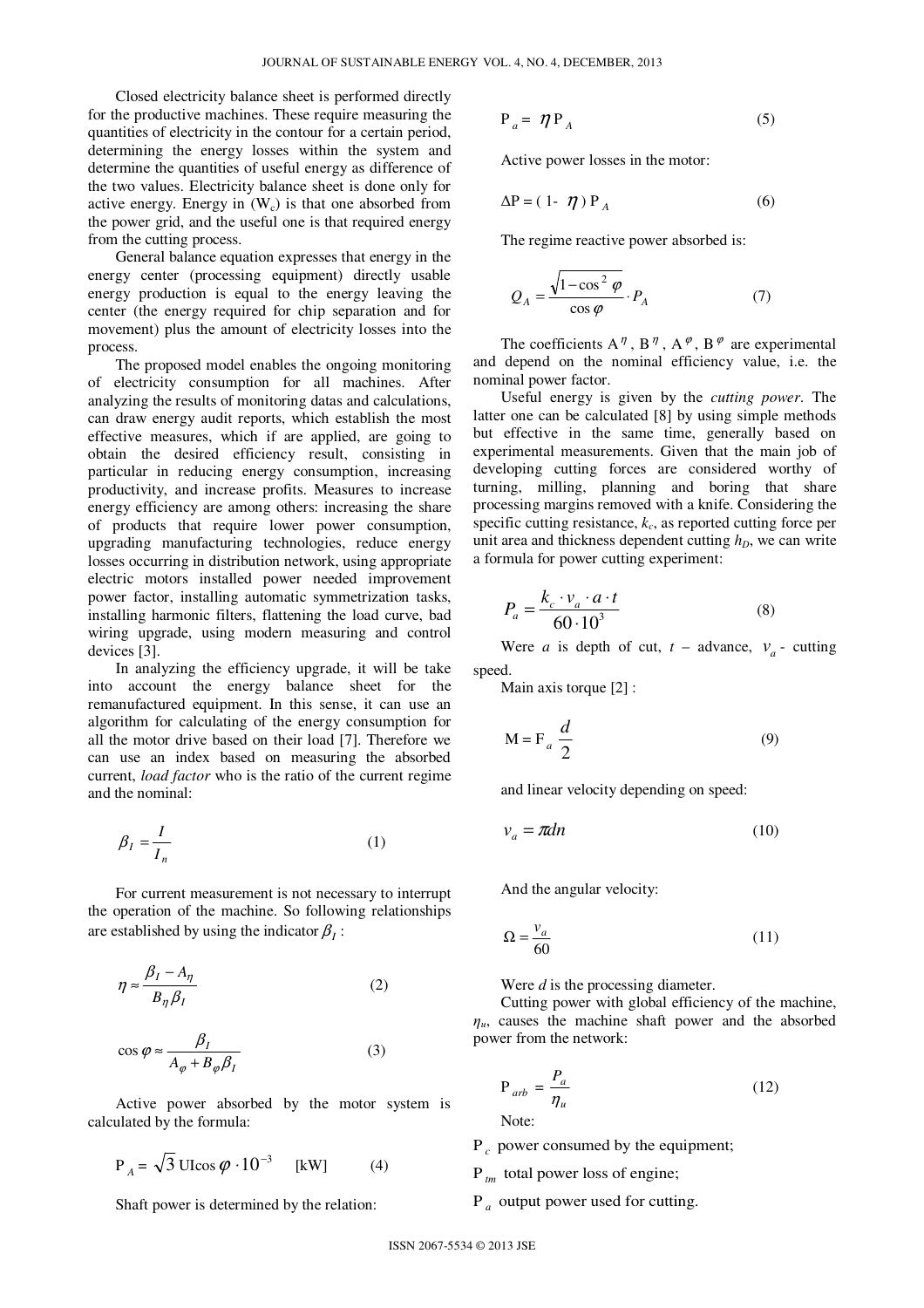Closed electricity balance sheet is performed directly for the productive machines. These require measuring the quantities of electricity in the contour for a certain period, determining the energy losses within the system and determine the quantities of useful energy as difference of the two values. Electricity balance sheet is done only for active energy. Energy in  $(W<sub>c</sub>)$  is that one absorbed from the power grid, and the useful one is that required energy from the cutting process.

General balance equation expresses that energy in the energy center (processing equipment) directly usable energy production is equal to the energy leaving the center (the energy required for chip separation and for movement) plus the amount of electricity losses into the process.

The proposed model enables the ongoing monitoring of electricity consumption for all machines. After analyzing the results of monitoring datas and calculations, can draw energy audit reports, which establish the most effective measures, which if are applied, are going to obtain the desired efficiency result, consisting in particular in reducing energy consumption, increasing productivity, and increase profits. Measures to increase energy efficiency are among others: increasing the share of products that require lower power consumption, upgrading manufacturing technologies, reduce energy losses occurring in distribution network, using appropriate electric motors installed power needed improvement power factor, installing automatic symmetrization tasks, installing harmonic filters, flattening the load curve, bad wiring upgrade, using modern measuring and control devices [3].

In analyzing the efficiency upgrade, it will be take into account the energy balance sheet for the remanufactured equipment. In this sense, it can use an algorithm for calculating of the energy consumption for all the motor drive based on their load [7]. Therefore we can use an index based on measuring the absorbed current, *load factor* who is the ratio of the current regime and the nominal:

$$
\beta_I = \frac{I}{I_n} \tag{1}
$$

For current measurement is not necessary to interrupt the operation of the machine. So following relationships are established by using the indicator  $\beta_I$ :

$$
\eta \approx \frac{\beta_I - A_\eta}{B_\eta \beta_I} \tag{2}
$$

$$
\cos \varphi \approx \frac{\beta_I}{A_{\varphi} + B_{\varphi} \beta_I} \tag{3}
$$

Active power absorbed by the motor system is calculated by the formula:

$$
P_A = \sqrt{3} \text{ UI}\cos\varphi \cdot 10^{-3} \quad [kW] \tag{4}
$$

Shaft power is determined by the relation:

$$
P_a = \eta P_A \tag{5}
$$

Active power losses in the motor:

$$
\Delta P = (1 - \eta) P_A \tag{6}
$$

The regime reactive power absorbed is:

$$
Q_A = \frac{\sqrt{1 - \cos^2 \varphi}}{\cos \varphi} \cdot P_A \tag{7}
$$

The coefficients  $A^{\eta}$ ,  $B^{\eta}$ ,  $A^{\varphi}$ ,  $B^{\varphi}$  are experimental and depend on the nominal efficiency value, i.e. the nominal power factor.

Useful energy is given by the *cutting power*. The latter one can be calculated [8] by using simple methods but effective in the same time, generally based on experimental measurements. Given that the main job of developing cutting forces are considered worthy of turning, milling, planning and boring that share processing margins removed with a knife. Considering the specific cutting resistance, *k<sup>c</sup>* , as reported cutting force per unit area and thickness dependent cutting  $h_D$ , we can write a formula for power cutting experiment:

$$
P_a = \frac{k_c \cdot v_a \cdot a \cdot t}{60 \cdot 10^3} \tag{8}
$$

Were *a* is depth of cut,  $t$  – advance,  $v_a$  - cutting speed.

Main axis torque [2] :

$$
M = F_a \frac{d}{2}
$$
 (9)

and linear velocity depending on speed:

$$
v_a = \pi dn \tag{10}
$$

And the angular velocity:

$$
\Omega = \frac{v_a}{60} \tag{11}
$$

Were *d* is the processing diameter.

Cutting power with global efficiency of the machine,  $\eta_u$ , causes the machine shaft power and the absorbed power from the network:

$$
P_{arb} = \frac{P_a}{\eta_u}
$$
 (12)

P *c* power consumed by the equipment;

P *tm* total power loss of engine;

P *a* output power used for cutting.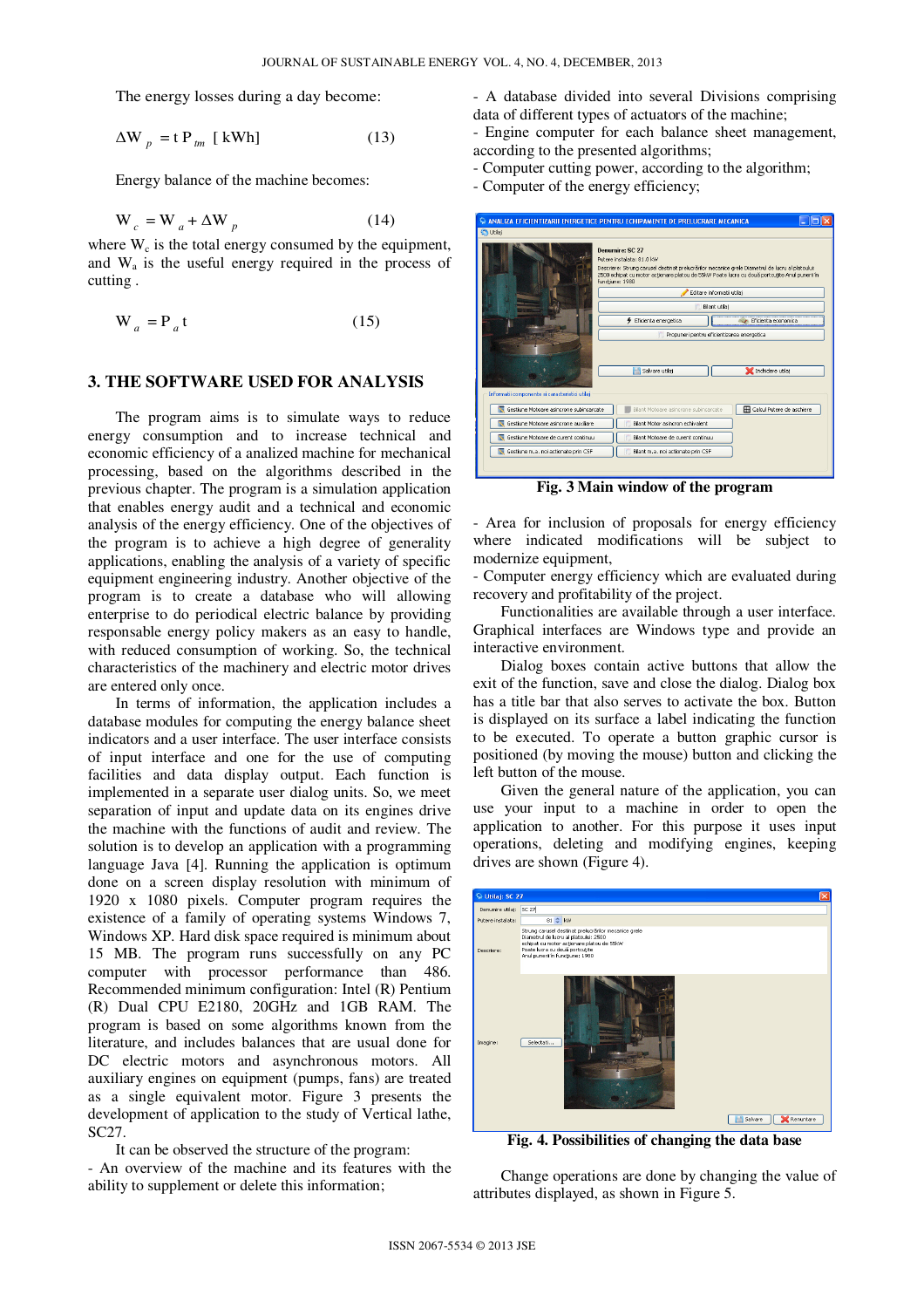The energy losses during a day become:

$$
\Delta W_p = t P_{tm} [kWh]
$$
 (13)

Energy balance of the machine becomes:

$$
W_c = W_a + \Delta W_p \tag{14}
$$

where  $W_c$  is the total energy consumed by the equipment, and  $W_a$  is the useful energy required in the process of cutting .

$$
W_a = P_a t \tag{15}
$$

#### **3. THE SOFTWARE USED FOR ANALYSIS**

The program aims is to simulate ways to reduce energy consumption and to increase technical and economic efficiency of a analized machine for mechanical processing, based on the algorithms described in the previous chapter. The program is a simulation application that enables energy audit and a technical and economic analysis of the energy efficiency. One of the objectives of the program is to achieve a high degree of generality applications, enabling the analysis of a variety of specific equipment engineering industry. Another objective of the program is to create a database who will allowing enterprise to do periodical electric balance by providing responsable energy policy makers as an easy to handle, with reduced consumption of working. So, the technical characteristics of the machinery and electric motor drives are entered only once.

In terms of information, the application includes a database modules for computing the energy balance sheet indicators and a user interface. The user interface consists of input interface and one for the use of computing facilities and data display output. Each function is implemented in a separate user dialog units. So, we meet separation of input and update data on its engines drive the machine with the functions of audit and review. The solution is to develop an application with a programming language Java [4]. Running the application is optimum done on a screen display resolution with minimum of 1920 x 1080 pixels. Computer program requires the existence of a family of operating systems Windows 7, Windows XP. Hard disk space required is minimum about 15 MB. The program runs successfully on any PC computer with processor performance than 486. Recommended minimum configuration: Intel (R) Pentium (R) Dual CPU E2180, 20GHz and 1GB RAM. The program is based on some algorithms known from the literature, and includes balances that are usual done for DC electric motors and asynchronous motors. All auxiliary engines on equipment (pumps, fans) are treated as a single equivalent motor. Figure 3 presents the development of application to the study of Vertical lathe, SC27.

It can be observed the structure of the program: - An overview of the machine and its features with the ability to supplement or delete this information;

- A database divided into several Divisions comprising data of different types of actuators of the machine;
- Engine computer for each balance sheet management, according to the presented algorithms;
- Computer cutting power, according to the algorithm;
- Computer of the energy efficiency;

| ANALIZA EFICIENTIZARII ENERGETICE PENTRU ECHIPAMENTE DE PRELUCRARE MECANICA |                                                                 |                                                                                                                                                                                                   |
|-----------------------------------------------------------------------------|-----------------------------------------------------------------|---------------------------------------------------------------------------------------------------------------------------------------------------------------------------------------------------|
| <b>C</b> Utilaj                                                             |                                                                 |                                                                                                                                                                                                   |
|                                                                             | Denumire: SC 27<br>Putere instalata: 81.0 kW<br>functiune: 1980 | Descriere: Strung carusel destinat prelucrărilor mecanice grele Diametrul de lucru al platoului:<br>2500 echipat cu motor acționare platou de 55kW Poate lucra cu două portcuțite Anul punerii în |
|                                                                             |                                                                 | Editare informatii utilai                                                                                                                                                                         |
|                                                                             |                                                                 | Bilant utilaj                                                                                                                                                                                     |
|                                                                             | <b>4</b> Eficienta energetica                                   | Eficienta economica                                                                                                                                                                               |
|                                                                             |                                                                 | Propuneri pentru eficientizarea energetica                                                                                                                                                        |
| Informatii componente si caracteristici utilaj                              | Salvare utilai                                                  | Inchidere utilaj                                                                                                                                                                                  |
| Gestiune Motoare asincrone subincarcate                                     | Bilant Motoare asincrone subincarcate                           | Calcul Putere de aschiere                                                                                                                                                                         |
| Gestiune Motoare asincrone auxiliare                                        | Bilant Motor asincron echivalent                                |                                                                                                                                                                                                   |
| Gestiune Motoare de curent continuu                                         | Bilant Motoare de curent continuu                               |                                                                                                                                                                                                   |
| Gestiune m.a. noi actionate prin CSF                                        | Bilant m.a. noi actionate prin CSF                              |                                                                                                                                                                                                   |
|                                                                             |                                                                 |                                                                                                                                                                                                   |

**Fig. 3 Main window of the program** 

- Area for inclusion of proposals for energy efficiency where indicated modifications will be subject to modernize equipment,

- Computer energy efficiency which are evaluated during recovery and profitability of the project.

Functionalities are available through a user interface. Graphical interfaces are Windows type and provide an interactive environment.

Dialog boxes contain active buttons that allow the exit of the function, save and close the dialog. Dialog box has a title bar that also serves to activate the box. Button is displayed on its surface a label indicating the function to be executed. To operate a button graphic cursor is positioned (by moving the mouse) button and clicking the left button of the mouse.

Given the general nature of the application, you can use your input to a machine in order to open the application to another. For this purpose it uses input operations, deleting and modifying engines, keeping drives are shown (Figure 4).



**Fig. 4. Possibilities of changing the data base** 

Change operations are done by changing the value of attributes displayed, as shown in Figure 5.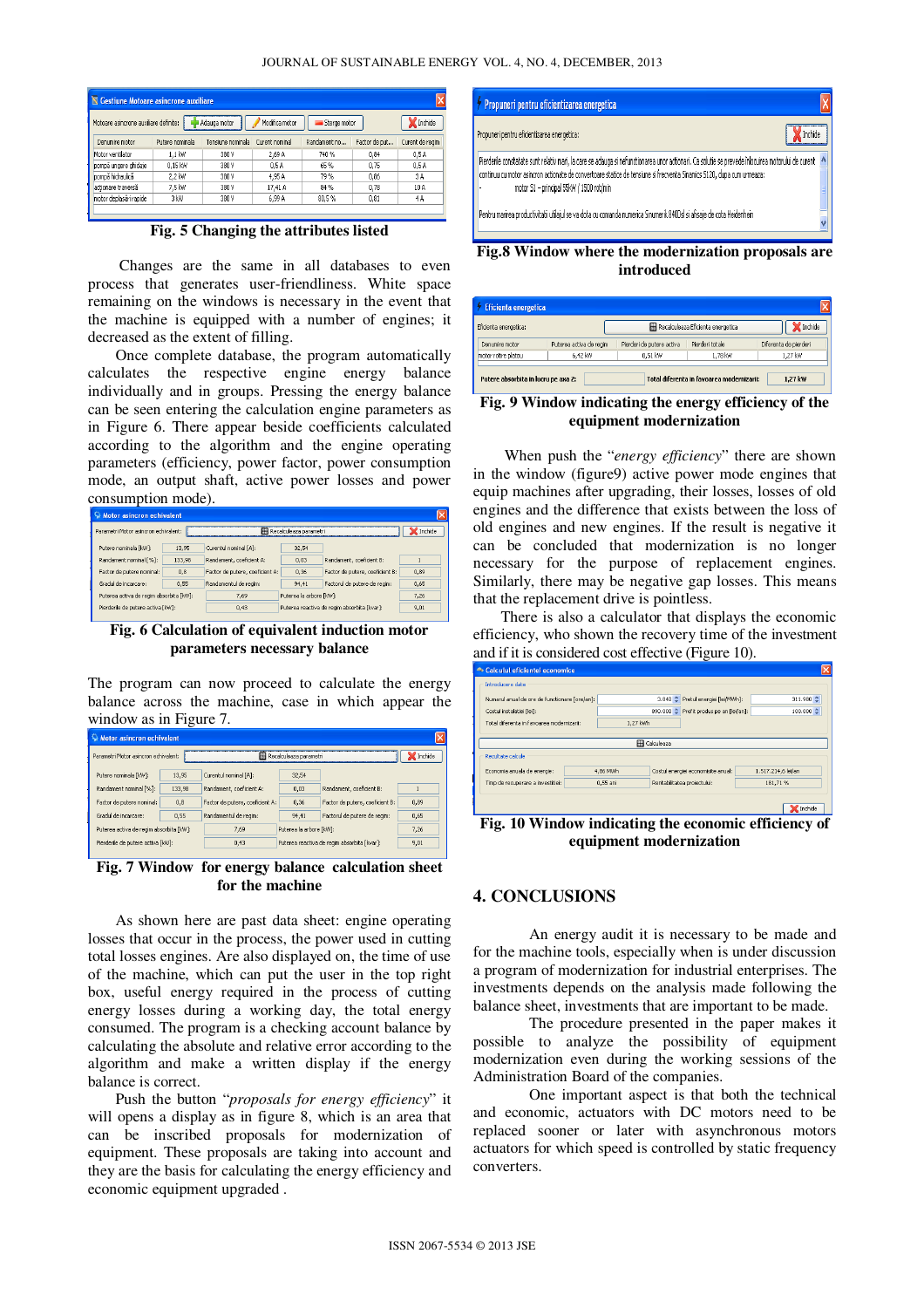| IN Gestiune Motoare asincrone auxiliare |                 |                   |                                |              |               |                 |
|-----------------------------------------|-----------------|-------------------|--------------------------------|--------------|---------------|-----------------|
| Motoare asincrone auxiliare definite:   |                 | Adauga motor      | Modifica motor<br>Sterge motor |              | Inchide       |                 |
| Denumire motor                          | Putere nominala | Tensiune nominala | Curent nominal                 | Randament no | Factor de put | Curent de regim |
| Motor ventilator                        | 1.1 kW          | 380 V             | 2.69 A                         | 740 %        | 0.84          | 0.5A            |
| pompă ungere ghidaje                    | 0.15 kW         | 380 V             | 0.5A                           | 65%          | 0.75          | 0.5A            |
| pompă hidraulică                        | 2.2 kW          | 380 V             | 4.95 A                         | 79%          | 0.86          | 3A              |
| actionare traversă                      | 7.5 kW          | 380 V             | 17.41 A                        | 84 %         | 0.78          | 10 A            |
| motor deplasări rapide                  | 3 kW            | 380 V             | 6.99 A                         | 80.5%        | 0.81          | 4A              |

**Fig. 5 Changing the attributes listed** 

 Changes are the same in all databases to even process that generates user-friendliness. White space remaining on the windows is necessary in the event that the machine is equipped with a number of engines; it decreased as the extent of filling.

Once complete database, the program automatically calculates the respective engine energy balance individually and in groups. Pressing the energy balance can be seen entering the calculation engine parameters as in Figure 6. There appear beside coefficients calculated according to the algorithm and the engine operating parameters (efficiency, power factor, power consumption mode, an output shaft, active power losses and power consumption mode).

| <b>Motor asincron echivalent</b>        |                                                                           |                                 |                         |                                             |      |  |
|-----------------------------------------|---------------------------------------------------------------------------|---------------------------------|-------------------------|---------------------------------------------|------|--|
|                                         | Parametri Motor asincron echivalent:<br><b>Hil Recalculeaza parametri</b> |                                 |                         |                                             |      |  |
| Putere nominala [kW]:                   | 13.95                                                                     | Curentul nominal [A]:           | 32.54                   |                                             |      |  |
| Randament nominal [%]:                  | 133,98                                                                    | Randament, coeficient A:        | 0.03                    | Randament, coeficient B:                    |      |  |
| Factor de putere nominal:               | 0.8                                                                       | Factor de putere, coeficient A: | 0.36                    | Factor de putere, coeficient B:             | 0.89 |  |
| Gradul de incarcare:                    | 0,55                                                                      | Randamentul de regim:           | 94.41                   | Factorul de putere de regim:                | 0,65 |  |
| Puterea activa de regim absorbita [kW]: |                                                                           | 7.69                            | Puterea la arbore [kW]: |                                             | 7.26 |  |
| Pierderile de putere activa [kw]:       |                                                                           | 0,43                            |                         | Puterea reactiva de regim absorbita [kvar]: | 9,01 |  |
|                                         |                                                                           |                                 |                         |                                             |      |  |

**Fig. 6 Calculation of equivalent induction motor parameters necessary balance** 

The program can now proceed to calculate the energy balance across the machine, case in which appear the window as in Figure 7.

| <b>Motor asincron echivalent</b>        |         |                                 |                         |                                             |      |
|-----------------------------------------|---------|---------------------------------|-------------------------|---------------------------------------------|------|
| Parametri Motor asincron echivalent:    | Inchide |                                 |                         |                                             |      |
| Putere nominala [kW]:                   | 13.95   | Curentul nominal [A]:           | 32,54                   |                                             |      |
| Randament nominal [%]:                  | 133.98  | Randament, coeficient A:        | 0.03                    | Randament, coeficient B:                    |      |
| Factor de putere nominal:               | 0.8     | Factor de putere, coeficient A: | 0.36                    | Factor de putere, coeficient B:             | 0.89 |
| Gradul de incarcare:                    | 0.55    | Randamentul de regim:           | 94,41                   | Factorul de putere de regim:                | 0,65 |
| Puterea activa de regim absorbita [kW]: |         | 7,69                            | Puterea la arbore [kW]: |                                             | 7,26 |
| Pierderile de putere activa [kw]:       |         | 0.43                            |                         | Puterea reactiva de regim absorbita [kvar]: | 9.01 |
|                                         |         |                                 |                         |                                             |      |

**Fig. 7 Window for energy balance calculation sheet for the machine** 

As shown here are past data sheet: engine operating losses that occur in the process, the power used in cutting total losses engines. Are also displayed on, the time of use of the machine, which can put the user in the top right box, useful energy required in the process of cutting energy losses during a working day, the total energy consumed. The program is a checking account balance by calculating the absolute and relative error according to the algorithm and make a written display if the energy balance is correct.

Push the button "*proposals for energy efficiency*" it will opens a display as in figure 8, which is an area that can be inscribed proposals for modernization of equipment. These proposals are taking into account and they are the basis for calculating the energy efficiency and economic equipment upgraded .

| Propuneri pentru eficientizarea energetica                                                                                                                                                                                                                                                                            |  |
|-----------------------------------------------------------------------------------------------------------------------------------------------------------------------------------------------------------------------------------------------------------------------------------------------------------------------|--|
| Propuneri pentru eficientizarea energetica:                                                                                                                                                                                                                                                                           |  |
| Pierderle constatate sunt relativ mari, la care se adauga si nefunctionarea unor actionari. Ca solutie se prevede înlocuirea motorului de curent<br>continuu cu motor asincron actionate de convertoare statice de tensiune si frecventa Sinamics 5120, dupa cum urmeaza:<br>motor S1 - principal 55kW / 1500 rot/min |  |
| Pentru marirea productivitatii utilajul se va dota cu comanda numerica Sinumerik 840Dsl si afisaje de cota Heidenhein                                                                                                                                                                                                 |  |

**Fig.8 Window where the modernization proposals are introduced** 

| Eficienta energetica: |                         | Recalculeaza Eficienta energetica<br>Inchide |                 |                       |
|-----------------------|-------------------------|----------------------------------------------|-----------------|-----------------------|
| Denumire motor        | Puterea activa de regim | Pierderi de putere activa                    | Pierderi totale | Diferenta de pierderi |
| motor rotire platou   | 6.42 KW                 | $0.51$ kW                                    | 1.78 kW         | 1.27 kW               |

#### **Fig. 9 Window indicating the energy efficiency of the equipment modernization**

 When push the "*energy efficiency*" there are shown in the window (figure9) active power mode engines that equip machines after upgrading, their losses, losses of old engines and the difference that exists between the loss of old engines and new engines. If the result is negative it can be concluded that modernization is no longer necessary for the purpose of replacement engines. Similarly, there may be negative gap losses. This means that the replacement drive is pointless.

There is also a calculator that displays the economic efficiency, who shown the recovery time of the investment and if it is considered cost effective (Figure 10).

|          |                                                           |                                  |                                                                   | 311.980 <sup>+</sup>                                                          |  |  |
|----------|-----------------------------------------------------------|----------------------------------|-------------------------------------------------------------------|-------------------------------------------------------------------------------|--|--|
|          |                                                           |                                  |                                                                   | $100.000 \div$                                                                |  |  |
|          |                                                           |                                  |                                                                   |                                                                               |  |  |
|          |                                                           |                                  |                                                                   |                                                                               |  |  |
|          |                                                           |                                  |                                                                   |                                                                               |  |  |
|          |                                                           |                                  |                                                                   |                                                                               |  |  |
|          |                                                           |                                  | 1.517.214.6 lei/an                                                |                                                                               |  |  |
| 0.55 ani |                                                           |                                  | 181.71%                                                           |                                                                               |  |  |
|          |                                                           |                                  |                                                                   |                                                                               |  |  |
|          |                                                           |                                  |                                                                   | Inchide                                                                       |  |  |
|          | Numarul anual de ore de functionare [ore/an]:<br>4,86 MWh | 1.27 kWh<br><b>ER</b> Calculeaza | Costul energiei economisite anual:<br>Rentabilitatea proiectului: | 3.840 C Pretul energiei [lei/MWh]:<br>890.000 C Profit produs pe an [lei/an]: |  |  |

**Fig. 10 Window indicating the economic efficiency of equipment modernization** 

# **4. CONCLUSIONS**

An energy audit it is necessary to be made and for the machine tools, especially when is under discussion a program of modernization for industrial enterprises. The investments depends on the analysis made following the balance sheet, investments that are important to be made.

The procedure presented in the paper makes it possible to analyze the possibility of equipment modernization even during the working sessions of the Administration Board of the companies.

One important aspect is that both the technical and economic, actuators with DC motors need to be replaced sooner or later with asynchronous motors actuators for which speed is controlled by static frequency converters.